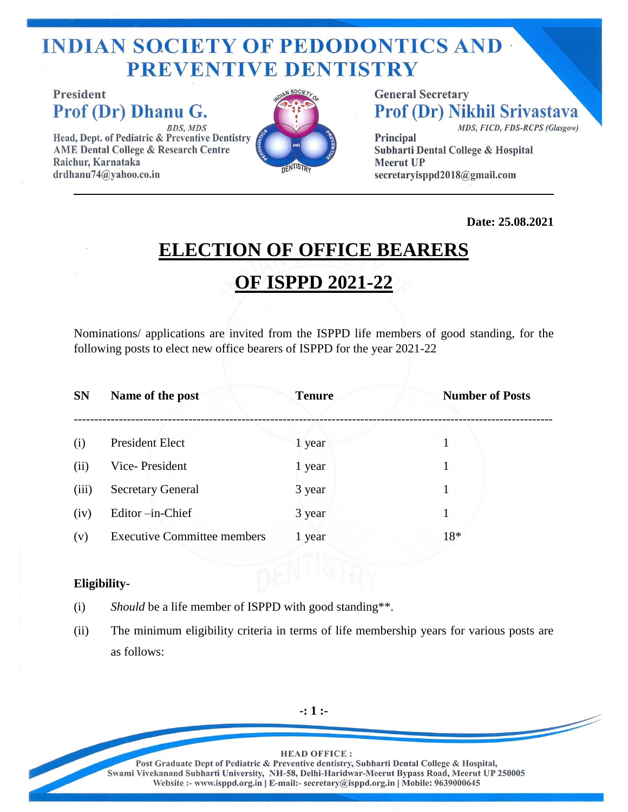# **INDIAN SOCIETY OF PEDODONTICS AND PREVENTIVE DENTISTRY**

**President** Prof (Dr) Dhanu G. **BDS, MDS** 

Head, Dept. of Pediatric & Preventive Dentistry **AME Dental College & Research Centre** Raichur, Karnataka drdhanu74@yahoo.co.in



**General Secretary Prof (Dr) Nikhil Srivastava** MDS, FICD, FDS-RCPS (Glasgow)

Principal Subharti Dental College & Hospital **Meerut UP** secretaryisppd2018@gmail.com

**Date: 25.08.2021** 

### **ELECTION OF OFFICE BEARERS**

#### **OF ISPPD 2021-22**

Nominations/ applications are invited from the ISPPD life members of good standing, for the following posts to elect new office bearers of ISPPD for the year 2021-22

| <b>SN</b> | Name of the post                   | <b>Tenure</b> | <b>Number of Posts</b> |
|-----------|------------------------------------|---------------|------------------------|
| (i)       | President Elect                    | 1 year        |                        |
| (ii)      | Vice-President                     | 1 year        |                        |
| (iii)     | <b>Secretary General</b>           | 3 year        |                        |
| (iv)      | Editor-in-Chief                    | 3 year        |                        |
| (v)       | <b>Executive Committee members</b> | 1 year        | 18*                    |

#### **Eligibility-**

- (i) *Should* be a life member of ISPPD with good standing\*\*.
- (ii) The minimum eligibility criteria in terms of life membership years for various posts are as follows:

**-: 1 :-**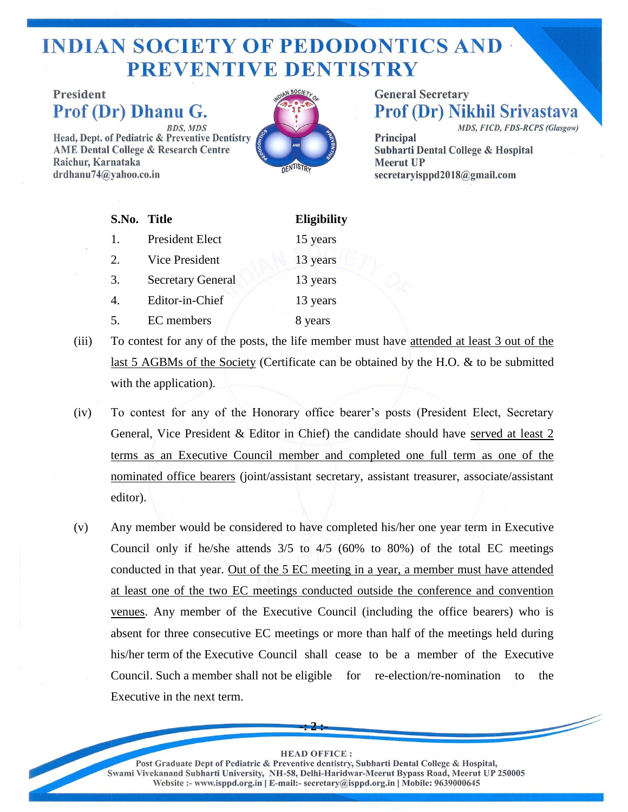### **INDIAN SOCIETY OF PEDODONTICS AND -PREVENTIVE DENTISTRY**

**President** Prof (Dr) Dhanu G. **BDS, MDS** 

Head, Dept. of Pediatric & Preventive Dentistry **AME Dental College & Research Centre** Raichur, Karnataka  $drdhanu74@vahoo.co.in$ 



**General Secretary Prof (Dr) Nikhil Srivastava** MDS, FICD, FDS-RCPS (Glasgow)

Principal **Subharti Dental College & Hospital Meerut UP** secretaryisppd2018@gmail.com

| S.No. Title           |                          | <b>Eligibility</b> |
|-----------------------|--------------------------|--------------------|
| 1.                    | President Elect          | 15 years           |
| 2.                    | <b>Vice President</b>    | 13 years           |
| 3.                    | <b>Secretary General</b> | 13 years           |
| $\mathcal{A}_{\cdot}$ | Editor-in-Chief          | 13 years           |
| 5.                    | EC members               | 8 years            |

- (iii) To contest for any of the posts, the life member must have attended at least 3 out of the last 5 AGBMs of the Society (Certificate can be obtained by the H.O. & to be submitted with the application).
- (iv) To contest for any of the Honorary office bearer's posts (President Elect, Secretary General, Vice President & Editor in Chief) the candidate should have served at least 2 terms as an Executive Council member and completed one full term as one of the nominated office bearers (joint/assistant secretary, assistant treasurer, associate/assistant editor).
- (v) Any member would be considered to have completed his/her one year term in Executive Council only if he/she attends  $3/5$  to  $4/5$  (60% to 80%) of the total EC meetings conducted in that year. Out of the 5 EC meeting in a year, a member must have attended at least one of the two EC meetings conducted outside the conference and convention venues. Any member of the Executive Council (including the office bearers) who is absent for three consecutive EC meetings or more than half of the meetings held during his/her term of the Executive Council shall cease to be a member of the Executive Council. Such a member shall not be eligible for re-election/re-nomination to the Executive in the next term.

#### **HEAD OFFICE:**

**-: 2 :-**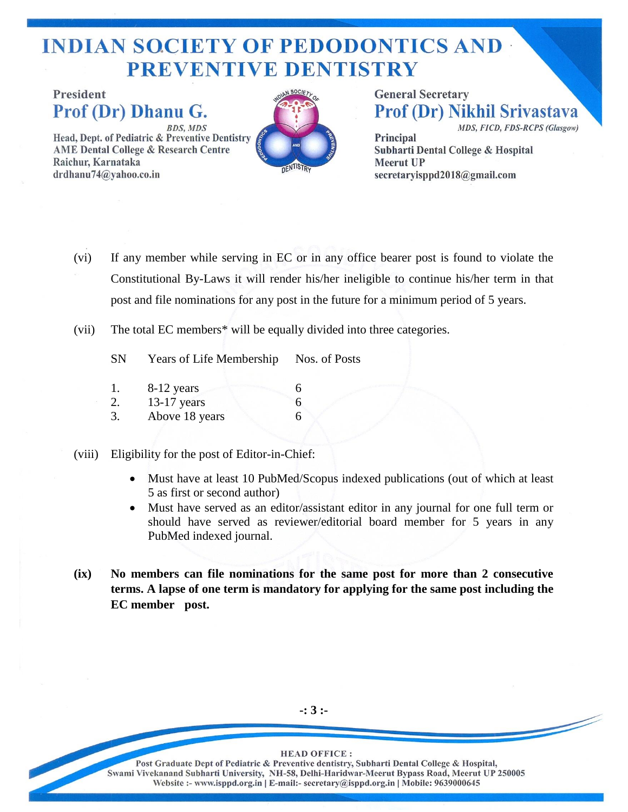# **INDIAN SOCIETY OF PEDODONTICS AND -PREVENTIVE DENTISTRY**

**President** Prof (Dr) Dhanu G. **BDS, MDS** Head, Dept. of Pediatric & Preventive Dentistry **AME Dental College & Research Centre** Raichur, Karnataka

 $drdhanu74@yahoo.co.in$ 



**General Secretary Prof (Dr) Nikhil Srivastava** MDS, FICD, FDS-RCPS (Glasgow) Principal **Subharti Dental College & Hospital Meerut UP** 

secretaryisppd2018@gmail.com

(vi) If any member while serving in EC or in any office bearer post is found to violate the Constitutional By-Laws it will render his/her ineligible to continue his/her term in that post and file nominations for any post in the future for a minimum period of 5 years.

- (vii) The total EC members\* will be equally divided into three categories.
	- SN Years of Life Membership Nos. of Posts
	- 1. 8-12 years 6 2. 13-17 years 6 3. Above 18 years 6
- (viii) Eligibility for the post of Editor-in-Chief:
	- Must have at least 10 PubMed/Scopus indexed publications (out of which at least 5 as first or second author)
	- Must have served as an editor/assistant editor in any journal for one full term or should have served as reviewer/editorial board member for 5 years in any PubMed indexed journal.
- **(ix) No members can file nominations for the same post for more than 2 consecutive terms. A lapse of one term is mandatory for applying for the same post including the EC member post.**

**-: 3 :-**

**HEAD OFFICE:**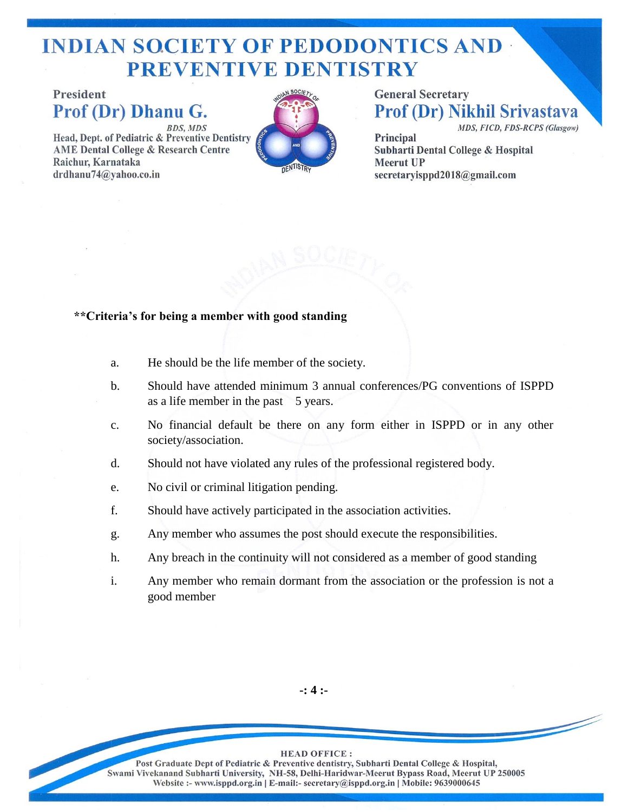# **INDIAN SOCIETY OF PEDODONTICS AND -PREVENTIVE DENTISTRY**

**President** Prof (Dr) Dhanu G. **BDS, MDS** 

Head, Dept. of Pediatric & Preventive Dentistry **AME Dental College & Research Centre** Raichur, Karnataka  $drdhanu74@yahoo.co.in$ 



**General Secretary Prof (Dr) Nikhil Srivastava** MDS, FICD, FDS-RCPS (Glasgow)

Principal **Subharti Dental College & Hospital Meerut UP** secretaryisppd2018@gmail.com

#### **\*\*Criteria's for being a member with good standing**

- a. He should be the life member of the society.
- b. Should have attended minimum 3 annual conferences/PG conventions of ISPPD as a life member in the past 5 years.
- c. No financial default be there on any form either in ISPPD or in any other society/association.
- d. Should not have violated any rules of the professional registered body.
- e. No civil or criminal litigation pending.
- f. Should have actively participated in the association activities.
- g. Any member who assumes the post should execute the responsibilities.
- h. Any breach in the continuity will not considered as a member of good standing
- i. Any member who remain dormant from the association or the profession is not a good member

**-: 4 :-**

**HEAD OFFICE:**